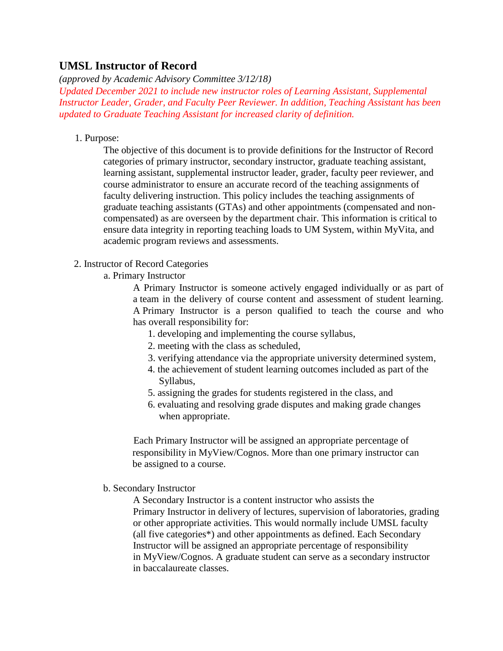## **UMSL Instructor of Record**

*(approved by Academic Advisory Committee 3/12/18)*

*Updated December 2021 to include new instructor roles of Learning Assistant, Supplemental Instructor Leader, Grader, and Faculty Peer Reviewer. In addition, Teaching Assistant has been updated to Graduate Teaching Assistant for increased clarity of definition.*

1. Purpose:

The objective of this document is to provide definitions for the Instructor of Record categories of primary instructor, secondary instructor, graduate teaching assistant, learning assistant, supplemental instructor leader, grader, faculty peer reviewer, and course administrator to ensure an accurate record of the teaching assignments of faculty delivering instruction. This policy includes the teaching assignments of graduate teaching assistants (GTAs) and other appointments (compensated and noncompensated) as are overseen by the department chair. This information is critical to ensure data integrity in reporting teaching loads to UM System, within MyVita, and academic program reviews and assessments.

- 2. Instructor of Record Categories
	- a. Primary Instructor

A Primary Instructor is someone actively engaged individually or as part of a team in the delivery of course content and assessment of student learning. A Primary Instructor is a person qualified to teach the course and who has overall responsibility for:

- 1. developing and implementing the course syllabus,
- 2. meeting with the class as scheduled,
- 3. verifying attendance via the appropriate university determined system,
- 4. the achievement of student learning outcomes included as part of the Syllabus,
- 5. assigning the grades for students registered in the class, and
- 6. evaluating and resolving grade disputes and making grade changes when appropriate.

Each Primary Instructor will be assigned an appropriate percentage of responsibility in MyView/Cognos. More than one primary instructor can be assigned to a course.

b. Secondary Instructor

A Secondary Instructor is a content instructor who assists the Primary Instructor in delivery of lectures, supervision of laboratories, grading or other appropriate activities. This would normally include UMSL faculty (all five categories\*) and other appointments as defined. Each Secondary Instructor will be assigned an appropriate percentage of responsibility in MyView/Cognos. A graduate student can serve as a secondary instructor in baccalaureate classes.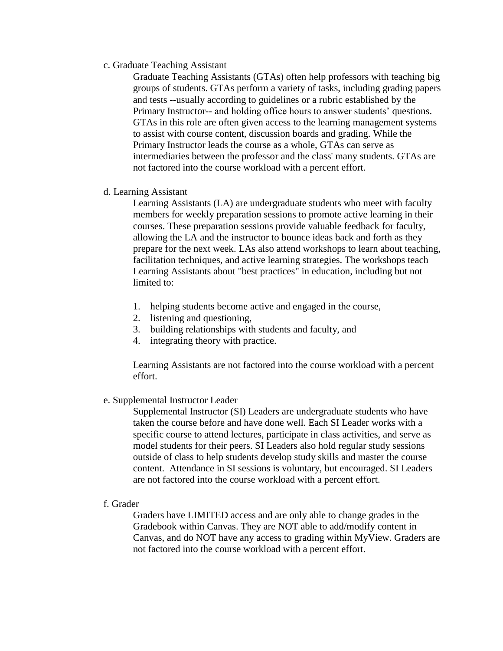c. Graduate Teaching Assistant

Graduate Teaching Assistants (GTAs) often help professors with teaching big groups of students. GTAs perform a variety of tasks, including grading papers and tests --usually according to guidelines or a rubric established by the Primary Instructor-- and holding office hours to answer students' questions. GTAs in this role are often given access to the learning management systems to assist with course content, discussion boards and grading. While the Primary Instructor leads the course as a whole, GTAs can serve as intermediaries between the professor and the class' many students. GTAs are not factored into the course workload with a percent effort.

d. Learning Assistant

Learning Assistants (LA) are undergraduate students who meet with faculty members for weekly preparation sessions to promote active learning in their courses. These preparation sessions provide valuable feedback for faculty, allowing the LA and the instructor to bounce ideas back and forth as they prepare for the next week. LAs also attend workshops to learn about teaching, facilitation techniques, and active learning strategies. The workshops teach Learning Assistants about "best practices" in education, including but not limited to:

- 1. helping students become active and engaged in the course,
- 2. listening and questioning,
- 3. building relationships with students and faculty, and
- 4. integrating theory with practice.

Learning Assistants are not factored into the course workload with a percent effort.

e. Supplemental Instructor Leader

Supplemental Instructor (SI) Leaders are undergraduate students who have taken the course before and have done well. Each SI Leader works with a specific course to attend lectures, participate in class activities, and serve as model students for their peers. SI Leaders also hold regular study sessions outside of class to help students develop study skills and master the course content. Attendance in SI sessions is voluntary, but encouraged. SI Leaders are not factored into the course workload with a percent effort.

f. Grader

Graders have LIMITED access and are only able to change grades in the Gradebook within Canvas. They are NOT able to add/modify content in Canvas, and do NOT have any access to grading within MyView. Graders are not factored into the course workload with a percent effort.